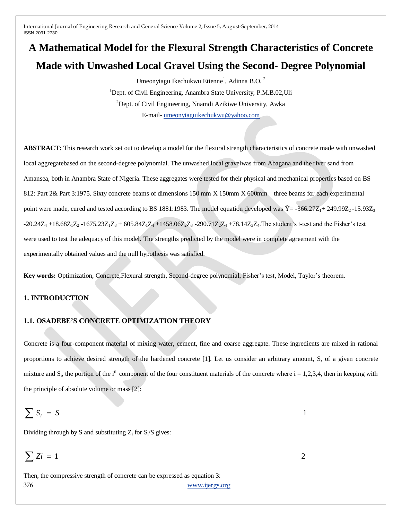# **A Mathematical Model for the Flexural Strength Characteristics of Concrete Made with Unwashed Local Gravel Using the Second- Degree Polynomial**

Umeonyiagu Ikechukwu Etienne<sup>1</sup>, Adinna B.O.<sup>2</sup> <sup>1</sup>Dept. of Civil Engineering, Anambra State University, P.M.B.02.Uli <sup>2</sup>Dept. of Civil Engineering, Nnamdi Azikiwe University, Awka E-mail- [umeonyiaguikechukwu@yahoo.com](mailto:umeonyiaguikechukwu@yahoo.com)

**ABSTRACT:** This research work set out to develop a model for the flexural strength characteristics of concrete made with unwashed local aggregatebased on the second-degree polynomial. The unwashed local gravelwas from Abagana and the river sand from Amansea, both in Anambra State of Nigeria. These aggregates were tested for their physical and mechanical properties based on BS 812: Part 2& Part 3:1975. Sixty concrete beams of dimensions 150 mm X 150mm X 600mm—three beams for each experimental point were made, cured and tested according to BS 1881:1983. The model equation developed was  $\hat{Y} = -366.27Z_1 + 249.99Z_2 - 15.93Z_3$  $-20.24Z_4 +18.68Z_1Z_2 -1675.23Z_1Z_3 + 605.84Z_1Z_4 +1458.06Z_2Z_3 -290.71Z_2Z_4 +78.14Z_3Z_4$ . The student's t-test and the Fisher's test were used to test the adequacy of this model. The strengths predicted by the model were in complete agreement with the experimentally obtained values and the null hypothesis was satisfied.

**Key words:** Optimization, Concrete,Flexural strength, Second-degree polynomial, Fisher's test, Model, Taylor's theorem.

#### **1. INTRODUCTION**

#### **1.1. OSADEBE'S CONCRETE OPTIMIZATION THEORY**

Concrete is a four-component material of mixing water, cement, fine and coarse aggregate. These ingredients are mixed in rational proportions to achieve desired strength of the hardened concrete [1]. Let us consider an arbitrary amount, S, of a given concrete mixture and  $S_i$ , the portion of the i<sup>th</sup> component of the four constituent materials of the concrete where  $i = 1,2,3,4$ , then in keeping with the principle of absolute volume or mass [2]:

$$
\sum S_i = S
$$

Dividing through by S and substituting  $Z_i$  for  $S_i/S$  gives:

$$
\sum S_i = S
$$
  
Dividing through by S and substituting Z<sub>i</sub> for S<sub>i</sub>/S gives:  

$$
\sum Z_i = 1
$$
  
Then, the compressive strength of concrete can be expressed as equation 3:  
376  
www.ijergs.org

Then, the compressive strength of concrete can be expressed as equation 3: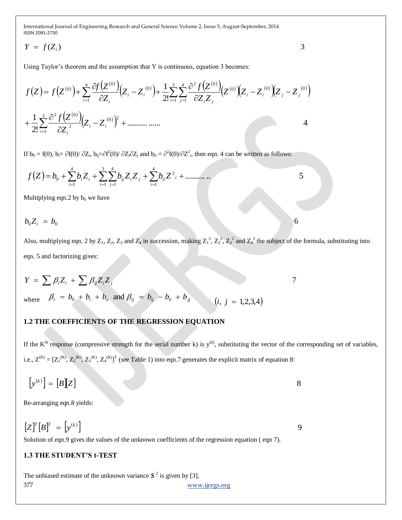$$
Y = f(Z_i) \tag{3}
$$

Using Taylor's theorem and the assumption that Y is continuous, equation 3 becomes:

Y = f(Z<sub>i</sub>)  
\nUsing Taylor's theorem and the assumption that Y is continuous, equation 3 becomes  
\n
$$
f(Z) = f(Z^{(0)}) + \sum_{i=1}^{4} \frac{\partial f(Z^{(0)})}{\partial Z_i} (Z_i - Z_i^{(0)}) + \frac{1}{2!} \sum_{i=1}^{4} \frac{\partial^2 f(Z^{(0)})}{\partial Z_i Z_j} (Z^{(0)}) (Z_i - Z_i^{(0)}) (Z_i - Z_i^{(0)})
$$
\n
$$
+ \frac{1}{2!} \sum_{i=1}^{4} \frac{\partial^2 f(Z^{(0)})}{\partial Z_i^2} (Z_i - Z_i^{(0)})^2 + \dots + \dots
$$
\nIf  $\mathbf{h}_0 = f(0)$ ,  $\mathbf{h} = \partial f(0)/\partial Z_i$ ,  $\mathbf{h}_0 = \partial^2 f(0)/\partial Z_i^2$ , and  $\mathbf{h}_0 = \partial^2 f(0)/\partial Z_i^2$ , then eqn. 4 can be written as follows:  
\n
$$
f(Z) = b_0 + \sum_{i=1}^{4} b_i Z_i + \sum_{i=1}^{4} \sum_{j=1}^{4} b_j Z_i Z_j + \sum_{i=1}^{4} b_i Z_i^2 + \dots + \dots
$$
\nMultiplying eqn. 2 by  $\mathbf{h}_0$ , we have  
\n
$$
b_0 Z_i = b_0
$$
\nAlso, multiplying eqn. 2 by  $Z_1$ ,  $Z_2$ ,  $Z_3$  and  $Z_4$  in succession, making  $Z_1^2$ ,  $Z_2^3$ , and  $Z_4^3$  the subject of the for eqn. 5 and factorizing gives:  
\n
$$
Y = \sum_i \beta_i Z_i + \sum_i \beta_{ij} Z_i Z_j
$$
\nwhere  $\beta_i = b_0 + b_i + b_{ij}$  and  $\beta_{ij} = b_{ij} - b_{ij} + b_{ij}$  (*i*, *j* = 1,2,3,4)  
\n1.2 THE COEFFICIENTS OF THE REGRESSIONE (a) into eqn. 7 generates the explicit matrix of equation 8:  
\n
$$
\begin{bmatrix} y^{(k)} \end{bmatrix} = [B[X] \qquad \text{So: } \text{ArrayS} = \begin{bmatrix} y^{(k)} \end{bmatrix}
$$
\nSolution of eqn. 9 gives the values of the

If  $b_0 = f(0)$ ,  $b_i = \partial f(0) / \partial Z_i$ ,  $b_{ij} = \partial f^2(0) / \partial Z_i$  and  $b_{ii} = \partial^2 f(0) / \partial Z_i^2$ , then eqn. 4 can be written as follows:

 .......... .. 5 2 4 1 3 1 4 1 4 1 <sup>0</sup> *i i j ii i j ij i i f Z b biZ<sup>i</sup> b Z Z b Z*

Multiplying eqn.2 by  $b_0$  we have

$$
b_0 Z_i = b_0
$$

Also, multiplying eqn. 2 by  $Z_1$ ,  $Z_2$ ,  $Z_3$  and  $Z_4$  in succession, making  $Z_1^2$ ,  $Z_2^2$ ,  $Z_3^2$  and  $Z_4^2$  the subject of the formula, substituting into eqn. 5 and factorizing gives:

$$
Y = \sum \beta_i Z_i + \sum \beta_{ij} Z_i Z_j
$$
  
where  $\beta_i = b_0 + b_i + b_{ii}$  and  $\beta_{ij} = b_{ij} - b_{ii} + b_{jj}$   $(i, j = 1, 2, 3, 4)$ 

#### **1.2 THE COEFFICIENTS OF THE REGRESSION EQUATION**

If the  $K<sup>th</sup>$  response (compressive strength for the serial number k) is  $y<sup>(k)</sup>$ , substituting the vector of the corresponding set of variables, i.e.,  $Z^{(K)} = [Z_1^{(K)}, Z_2^{(K)}, Z_3^{(K)}, Z_4^{(K)}]^T$  (see Table 1) into eqn.7 generates the explicit matrix of equation 8:

$$
\left[ y^{(k)} \right] = \left[ B \right] \hspace{-0.3cm} \left[ Z \right]
$$

Re-arranging eqn.8 yields:

$$
[Z]^T [B]^T = [y^{(k)}]
$$

Solution of eqn.9 gives the values of the unknown coefficients of the regression equation ( eqn 7).

## **1.3 THE STUDENT'S t-TEST**

The unbiased estimate of the unknown variance  $S^2$  is given by [3],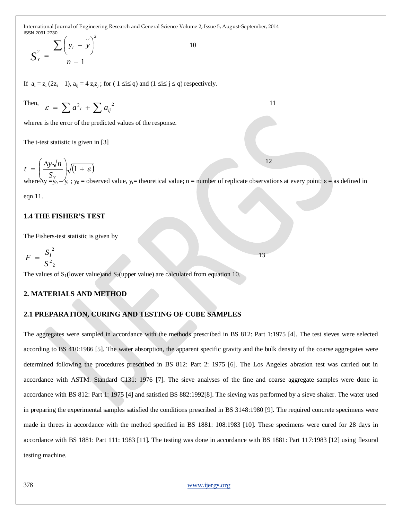$$
S_{Y}^{2} = \frac{\sum (y_{i} - y)^{2}}{n-1}
$$

If  $a_i = z_i (2z_i - 1)$ ,  $a_{ij} = 4 z_i z_j$ ; for  $(1 \le i \le q)$  and  $(1 \le i \le j \le q)$  respectively.

Then,  $\varepsilon = \sum a_i^2 + \sum a_{ij}^2$  11

where a is the error of the predicted values of the response.

The t-test statistic is given in [3]

$$
t = \left(\frac{\Delta y \sqrt{n}}{S_y}\right) \sqrt{(1+\varepsilon)}
$$
  
where  $\Delta y = y_0 - y_t$ ;  $y_0$  = observed value,  $y_t$  = theoretical value; n = number of replicate observations at every point;  $\varepsilon$  = as defined in

13

eqn.11.

#### **1.4 THE FISHER'S TEST**

The Fishers-test statistic is given by

$$
F = \frac{S_1^2}{S_{2}^2}
$$

The values of  $S_1$ (lower value) and  $S_2$ (upper value) are calculated from equation 10.

#### **2. MATERIALS AND METHOD**

#### **2.1 PREPARATION, CURING AND TESTING OF CUBE SAMPLES**

The aggregates were sampled in accordance with the methods prescribed in BS 812: Part 1:1975 [4]. The test sieves were selected according to BS 410:1986 [5]. The water absorption, the apparent specific gravity and the bulk density of the coarse aggregates were determined following the procedures prescribed in BS 812: Part 2: 1975 [6]. The Los Angeles abrasion test was carried out in accordance with ASTM. Standard C131: 1976 [7]. The sieve analyses of the fine and coarse aggregate samples were done in accordance with BS 812: Part 1: 1975 [4] and satisfied BS 882:1992[8]. The sieving was performed by a sieve shaker. The water used in preparing the experimental samples satisfied the conditions prescribed in BS 3148:1980 [9]. The required concrete specimens were made in threes in accordance with the method specified in BS 1881: 108:1983 [10]. These specimens were cured for 28 days in accordance with BS 1881: Part 111: 1983 [11]. The testing was done in accordance with BS 1881: Part 117:1983 [12] using flexural testing machine.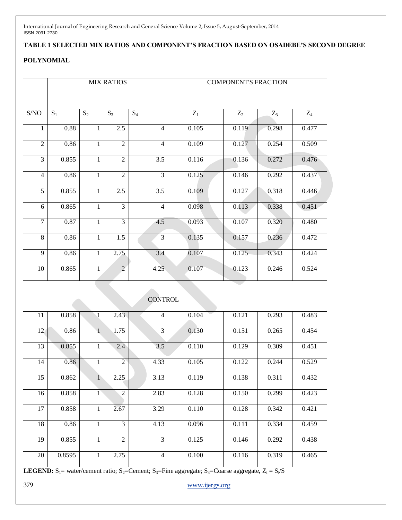## **TABLE 1 SELECTED MIX RATIOS AND COMPONENT'S FRACTION BASED ON OSADEBE'S SECOND DEGREE**

## **POLYNOMIAL**

|                                                    | <b>MIX RATIOS</b> |              |                |                  | <b>COMPONENT'S FRACTION</b> |       |       |                |  |  |
|----------------------------------------------------|-------------------|--------------|----------------|------------------|-----------------------------|-------|-------|----------------|--|--|
| $\ensuremath{\mathrm{S}}/\ensuremath{\mathrm{NO}}$ | $S_1$             | $S_2$        | $S_3$          | $S_4$            | $\mathbf{Z}_1$              | $Z_2$ | $Z_3$ | $\mathbf{Z}_4$ |  |  |
| 1                                                  | 0.88              | 1            | 2.5            | $\overline{4}$   | 0.105                       | 0.119 | 0.298 | 0.477          |  |  |
| $\overline{2}$                                     | 0.86              | $\mathbf{1}$ | $\overline{2}$ | $\overline{4}$   | 0.109                       | 0.127 | 0.254 | 0.509          |  |  |
| $\overline{3}$                                     | 0.855             | $\mathbf{1}$ | $\overline{2}$ | $\overline{3.5}$ | 0.116                       | 0.136 | 0.272 | 0.476          |  |  |
| $\overline{4}$                                     | 0.86              | 1            | $\overline{2}$ | $\overline{3}$   | 0.125                       | 0.146 | 0.292 | 0.437          |  |  |
| $\overline{5}$                                     | 0.855             | 1            | 2.5            | $\overline{3.5}$ | 0.109                       | 0.127 | 0.318 | 0.446          |  |  |
| 6                                                  | 0.865             | $\mathbf{1}$ | $\overline{3}$ | $\overline{4}$   | 0.098                       | 0.113 | 0.338 | 0.451          |  |  |
| $\overline{7}$                                     | 0.87              | $\mathbf{1}$ | $\overline{3}$ | 4.5              | 0.093                       | 0.107 | 0.320 | 0.480          |  |  |
| 8                                                  | 0.86              | $\mathbf{1}$ | 1.5            | $\mathfrak{Z}$   | 0.135                       | 0.157 | 0.236 | 0.472          |  |  |
| $\overline{9}$                                     | 0.86              | $\mathbf{1}$ | 2.75           | 3.4              | 0.107                       | 0.125 | 0.343 | 0.424          |  |  |
| 10                                                 | 0.865             | 1            | $\overline{2}$ | 4.25             | 0.107                       | 0.123 | 0.246 | 0.524          |  |  |
|                                                    | <b>CONTROL</b>    |              |                |                  |                             |       |       |                |  |  |
| 11                                                 | 0.858             | $\sqrt{1}$   | 2.43           | $\overline{4}$   | 0.104                       | 0.121 | 0.293 | 0.483          |  |  |
| 12                                                 | 0.86              | $\sqrt{1}$   | 1.75           | 3                | 0.130                       | 0.151 | 0.265 | 0.454          |  |  |
| 13                                                 | 0.855             | $\mathbf{1}$ | 2.4            | 3.5              | 0.110                       | 0.129 | 0.309 | 0.451          |  |  |
| 14                                                 | 0.86              | $\mathbf{1}$ | $\overline{2}$ | 4.33             | 0.105                       | 0.122 | 0.244 | 0.529          |  |  |
| 15                                                 | 0.862             | $\mathbf{1}$ | 2.25           | 3.13             | 0.119                       | 0.138 | 0.311 | 0.432          |  |  |
| 16                                                 | 0.858             | $\mathbf{1}$ | $\overline{2}$ | 2.83             | 0.128                       | 0.150 | 0.299 | 0.423          |  |  |
| 17                                                 | 0.858             | $\mathbf{1}$ | 2.67           | 3.29             | 0.110                       | 0.128 | 0.342 | 0.421          |  |  |
| 18                                                 | 0.86              | $\mathbf{1}$ | $\overline{3}$ | 4.13             | 0.096                       | 0.111 | 0.334 | 0.459          |  |  |
| $\overline{19}$                                    | 0.855             | $\mathbf{1}$ | $\overline{2}$ | $\overline{3}$   | 0.125                       | 0.146 | 0.292 | 0.438          |  |  |
| $\overline{20}$                                    | 0.8595            | $\mathbf{1}$ | 2.75           | $\overline{4}$   | 0.100                       | 0.116 | 0.319 | 0.465          |  |  |

**LEGEND:**  $S_1$  = water/cement ratio;  $S_2$ =Cement;  $S_3$ =Fine aggregate;  $S_4$ =Coarse aggregate,  $Z_i = S_i/S$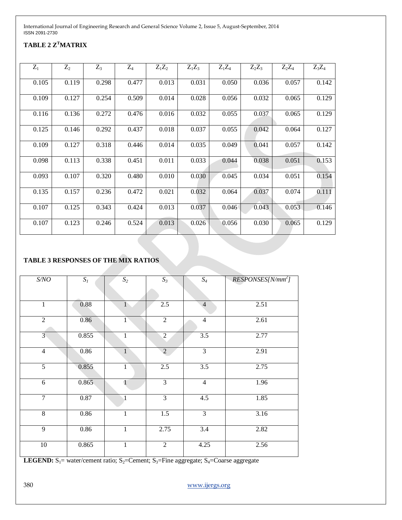## **TABLE 2 Z<sup>T</sup>MATRIX**

| $Z_1$ | $Z_2$ | $Z_3$ | $Z_4$ | $Z_1Z_2$ | $Z_1Z_3$ | $Z_1Z_4$ | $Z_2Z_3$ | $Z_2Z_4$ | $Z_3Z_4$ |
|-------|-------|-------|-------|----------|----------|----------|----------|----------|----------|
| 0.105 | 0.119 | 0.298 | 0.477 | 0.013    | 0.031    | 0.050    | 0.036    | 0.057    | 0.142    |
| 0.109 | 0.127 | 0.254 | 0.509 | 0.014    | 0.028    | 0.056    | 0.032    | 0.065    | 0.129    |
| 0.116 | 0.136 | 0.272 | 0.476 | 0.016    | 0.032    | 0.055    | 0.037    | 0.065    | 0.129    |
| 0.125 | 0.146 | 0.292 | 0.437 | 0.018    | 0.037    | 0.055    | 0.042    | 0.064    | 0.127    |
| 0.109 | 0.127 | 0.318 | 0.446 | 0.014    | 0.035    | 0.049    | 0.041    | 0.057    | 0.142    |
| 0.098 | 0.113 | 0.338 | 0.451 | 0.011    | 0.033    | 0.044    | 0.038    | 0.051    | 0.153    |
| 0.093 | 0.107 | 0.320 | 0.480 | 0.010    | 0.030    | 0.045    | 0.034    | 0.051    | 0.154    |
| 0.135 | 0.157 | 0.236 | 0.472 | 0.021    | 0.032    | 0.064    | 0.037    | 0.074    | 0.111    |
| 0.107 | 0.125 | 0.343 | 0.424 | 0.013    | 0.037    | 0.046    | 0.043    | 0.053    | 0.146    |
| 0.107 | 0.123 | 0.246 | 0.524 | 0.013    | 0.026    | 0.056    | 0.030    | 0.065    | 0.129    |

## **TABLE 3 RESPONSES OF THE MIX RATIOS**

| S/NO           | $S_I$ | $\mathfrak{S}_2$ | $S_3$            | $\mathfrak{S}_4$ | $RESPONSES[N/mm^2]$ |
|----------------|-------|------------------|------------------|------------------|---------------------|
|                |       |                  |                  |                  |                     |
| $\mathbf{1}$   | 0.88  | $\mathbf{1}$     | 2.5              | $\overline{4}$   | 2.51                |
| $\overline{2}$ | 0.86  | $\overline{1}$   | $\overline{2}$   | $\overline{4}$   | 2.61                |
| $3^{\circ}$    | 0.855 | $\mathbf{1}$     | $\sqrt{2}$       | 3.5              | 2.77                |
| $\overline{4}$ | 0.86  | $\mathbf{1}$     | $\overline{2}$   | $\overline{3}$   | 2.91                |
| $\overline{5}$ | 0.855 | $\mathbf{1}$     | 2.5              | 3.5              | 2.75                |
| $\overline{6}$ | 0.865 | $\mathbf{1}$     | $\overline{3}$   | $\overline{4}$   | 1.96                |
| $\overline{7}$ | 0.87  | 1                | $\overline{3}$   | 4.5              | 1.85                |
| 8              | 0.86  | $\mathbf{1}$     | $\overline{1.5}$ | $\overline{3}$   | 3.16                |
| $\overline{9}$ | 0.86  | $\overline{1}$   | 2.75             | $\overline{3.4}$ | 2.82                |
| $10\,$         | 0.865 | $\mathbf{1}$     | $\overline{2}$   | 4.25             | 2.56                |

**LEGEND:**  $S_1$ = water/cement ratio;  $S_2$ =Cement;  $S_3$ =Fine aggregate;  $S_4$ =Coarse aggregate

380 [www.ijergs.org](http://www.ijergs.org/)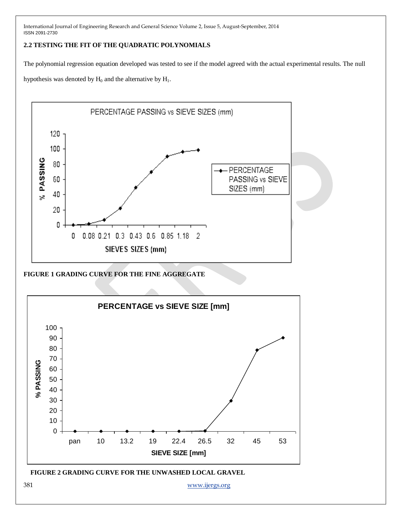#### **2.2 TESTING THE FIT OF THE QUADRATIC POLYNOMIALS**

The polynomial regression equation developed was tested to see if the model agreed with the actual experimental results. The null

hypothesis was denoted by  $H_0$  and the alternative by  $H_1$ .



**FIGURE 1 GRADING CURVE FOR THE FINE AGGREGATE**

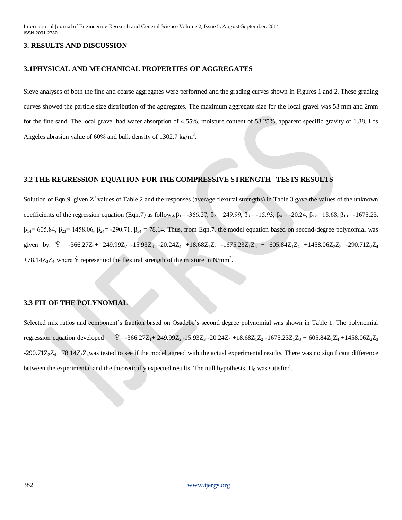#### **3. RESULTS AND DISCUSSION**

#### **3.1PHYSICAL AND MECHANICAL PROPERTIES OF AGGREGATES**

Sieve analyses of both the fine and coarse aggregates were performed and the grading curves shown in Figures 1 and 2. These grading curves showed the particle size distribution of the aggregates. The maximum aggregate size for the local gravel was 53 mm and 2mm for the fine sand. The local gravel had water absorption of 4.55%, moisture content of 53.25%, apparent specific gravity of 1.88, Los Angeles abrasion value of 60% and bulk density of 1302.7 kg/m<sup>3</sup>.

#### **3.2 THE REGRESSION EQUATION FOR THE COMPRESSIVE STRENGTH TESTS RESULTS**

Solution of Eqn.9, given  $Z<sup>T</sup>$  values of Table 2 and the responses (average flexural strengths) in Table 3 gave the values of the unknown coefficients of the regression equation (Eqn.7) as follows: $\beta_1 = -366.27$ ,  $\beta_2 = 249.99$ ,  $\beta_3 = -15.93$ ,  $\beta_4 = -20.24$ ,  $\beta_{12} = 18.68$ ,  $\beta_{13} = -1675.23$ ,  $\beta_{14}$ = 605.84,  $\beta_{23}$ = 1458.06,  $\beta_{24}$ = -290.71,  $\beta_{34}$  = 78.14. Thus, from Eqn.7, the model equation based on second-degree polynomial was given by:  $\hat{Y} = -366.27Z_1 + 249.99Z_2 -15.93Z_3 -20.24Z_4 +18.68Z_1Z_2 -1675.23Z_1Z_3 + 605.84Z_1Z_4 +1458.06Z_2Z_3 -290.71Z_2Z_4$ +78.14Z<sub>3</sub>Z<sub>4</sub>, where  $\hat{Y}$  represented the flexural strength of the mixture in N/mm<sup>2</sup>.

#### **3.3 FIT OF THE POLYNOMIAL**

Selected mix ratios and component's fraction based on Osadebe's second degree polynomial was shown in Table 1. The polynomial regression equation developed —  $\hat{Y} = -366.27Z_1 + 249.99Z_2 -15.93Z_3 -20.24Z_4 +18.68Z_1Z_2 -1675.23Z_1Z_3 + 605.84Z_1Z_4 +1458.06Z_2Z_3$  $-290.71Z_2Z_4 + 78.14Z_3Z_4$  was tested to see if the model agreed with the actual experimental results. There was no significant difference between the experimental and the theoretically expected results. The null hypothesis,  $H_0$  was satisfied.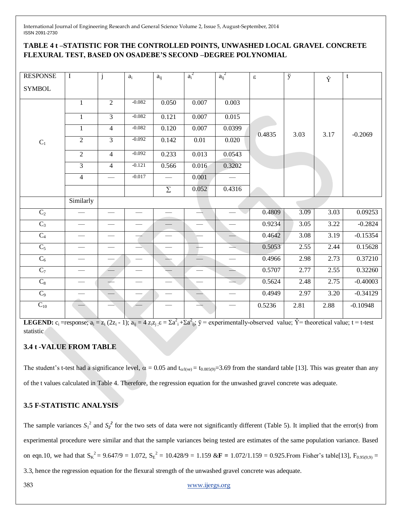## **TABLE 4 t –STATISTIC FOR THE CONTROLLED POINTS, UNWASHED LOCAL GRAVEL CONCRETE FLEXURAL TEST, BASED ON OSADEBE'S SECOND –DEGREE POLYNOMIAL**

| <b>RESPONSE</b>   | $\mathbf I$    | j              | $\mathbf{a}_i$ | $a_{ij}$ | $a_i^2$ | $a_{ij}^2$               | $\boldsymbol{\varepsilon}$ | ÿ    | Ŷ    | t          |
|-------------------|----------------|----------------|----------------|----------|---------|--------------------------|----------------------------|------|------|------------|
| <b>SYMBOL</b>     |                |                |                |          |         |                          |                            |      |      |            |
|                   | $\mathbf{1}$   | $\overline{2}$ | $-0.082$       | 0.050    | 0.007   | 0.003                    |                            |      |      |            |
|                   | $\mathbf{1}$   | $\overline{3}$ | $-0.082$       | 0.121    | 0.007   | 0.015                    |                            |      |      |            |
|                   | $\mathbf 1$    | $\overline{4}$ | $-0.082$       | 0.120    | 0.007   | 0.0399                   | 0.4835                     | 3.03 | 3.17 | $-0.2069$  |
| $\mathbf{C}_1$    | $\overline{2}$ | $\overline{3}$ | $-0.092$       | 0.142    | 0.01    | 0.020                    |                            |      |      |            |
|                   | $\overline{2}$ | $\overline{4}$ | $-0.092$       | 0.233    | 0.013   | 0.0543                   |                            |      |      |            |
|                   | $\overline{3}$ | $\overline{4}$ | $-0.121$       | 0.566    | 0.016   | 0.3202                   |                            |      |      |            |
|                   | $\overline{4}$ |                | $-0.017$       |          | 0.001   |                          |                            |      |      |            |
|                   |                |                |                | $\Sigma$ | 0.052   | 0.4316                   |                            |      |      |            |
|                   | Similarly      |                |                |          |         |                          |                            |      |      |            |
| $\mathbf{C}_2$    |                |                |                |          |         |                          | 0.4809                     | 3.09 | 3.03 | 0.09253    |
| $\overline{C_3}$  |                |                |                |          |         |                          | 0.9234                     | 3.05 | 3.22 | $-0.2824$  |
| $\overline{C_4}$  |                |                |                |          |         | $\rightarrow$            | 0.4642                     | 3.08 | 3.19 | $-0.15354$ |
| $C_5$             |                |                |                |          |         | $\overline{\phantom{a}}$ | 0.5053                     | 2.55 | 2.44 | 0.15628    |
| $C_6$             |                |                |                |          |         |                          | 0.4966                     | 2.98 | 2.73 | 0.37210    |
| $\overline{C_7}$  |                |                |                |          |         | $\equiv$                 | 0.5707                     | 2.77 | 2.55 | 0.32260    |
| $C_8$             |                |                |                |          |         |                          | 0.5624                     | 2.48 | 2.75 | $-0.40003$ |
| $\overline{C_9}$  |                |                |                |          |         |                          | 0.4949                     | 2.97 | 3.20 | $-0.34129$ |
| $\mathbf{C}_{10}$ |                |                |                |          |         |                          | 0.5236                     | 2.81 | 2.88 | $-0.10948$ |

**LEGEND:**  $c_i$  =response;  $a_i = z_i (2z_i - 1)$ ;  $a_{ij} = 4 z_i z_j$ ;  $\varepsilon = \sum a_i^2 + \sum a_i^2 z_j$ ;  $\breve{y} =$  experimentally-observed value;  $\hat{Y} =$  theoretical value;  $t =$  t-test statistic

## **3.4 t -VALUE FROM TABLE**

The student's t-test had a significance level,  $\alpha = 0.05$  and  $t_{\alpha/(ve)} = t_{0.005(9)} = 3.69$  from the standard table [13]. This was greater than any of the t values calculated in Table 4. Therefore, the regression equation for the unwashed gravel concrete was adequate.

## **3.5 F-STATISTIC ANALYSIS**

The sample variances  $S_1^2$  and  $S_2^2$  for the two sets of data were not significantly different (Table 5). It implied that the error(s) from experimental procedure were similar and that the sample variances being tested are estimates of the same population variance. Based on eqn.10, we had that  $S_K^2 = 9.647/9 = 1.072$ ,  $S_E^2 = 10.428/9 = 1.159$   $\&$ **F** = 1.072/1.159 = 0.925. From Fisher's table[13], F<sub>0.95(9,9)</sub> = 3.3, hence the regression equation for the flexural strength of the unwashed gravel concrete was adequate.

383 [www.ijergs.org](http://www.ijergs.org/)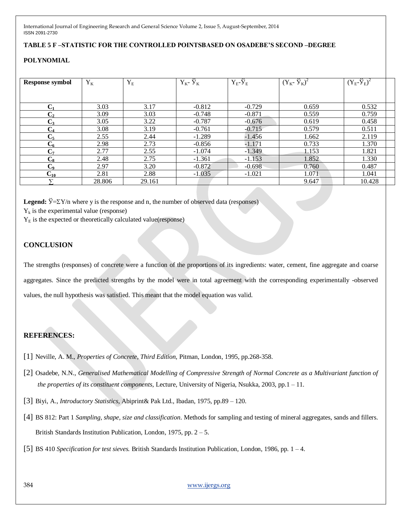#### **TABLE 5 F –STATISTIC FOR THE CONTROLLED POINTSBASED ON OSADEBE'S SECOND –DEGREE**

#### **POLYNOMIAL**

| <b>Response symbol</b> | $Y_K$  | $\mathbf{Y}_{\rm E}$ | $Y_K - \tilde{Y}_K$ | $Y_E - \breve{Y}_E$ | $(Y_{K} - \tilde{Y}_{K})^{2}$ | $(Y_E - \breve{Y}_E)^2$ |
|------------------------|--------|----------------------|---------------------|---------------------|-------------------------------|-------------------------|
|                        |        |                      |                     |                     |                               |                         |
| C1                     | 3.03   | 3.17                 | $-0.812$            | $-0.729$            | 0.659                         | 0.532                   |
| $\mathbf{C}_2$         | 3.09   | 3.03                 | $-0.748$            | $-0.871$            | 0.559                         | 0.759                   |
| $C_3$                  | 3.05   | 3.22                 | $-0.787$            | $-0.676$            | 0.619                         | 0.458                   |
| $\rm{C}_4$             | 3.08   | 3.19                 | $-0.761$            | $-0.715$            | 0.579                         | 0.511                   |
| $\mathrm{C}_5$         | 2.55   | 2.44                 | $-1.289$            | $-1.456$            | 1.662                         | 2.119                   |
| $C_6$                  | 2.98   | 2.73                 | $-0.856$            | $-1.171$            | 0.733                         | 1.370                   |
| $C_7$                  | 2.77   | 2.55                 | $-1.074$            | $-1.349$            | 1.153                         | 1.821                   |
| $C_{8}$                | 2.48   | 2.75                 | $-1.361$            | $-1.153$            | 1.852                         | 1.330                   |
| $C_{9}$                | 2.97   | 3.20                 | $-0.872$            | $-0.698$            | 0.760                         | 0.487                   |
| $C_{10}$               | 2.81   | 2.88                 | $-1.035$            | $-1.021$            | 1.071                         | 1.041                   |
|                        | 28.806 | 29.161               |                     |                     | 9.647                         | 10.428                  |

**Legend:**  $\check{y} = \Sigma Y/n$  where y is the response and n, the number of observed data (responses)

 $Y_k$  is the experimental value (response)

 $Y<sub>E</sub>$  is the expected or theoretically calculated value(response)

#### **CONCLUSION**

The strengths (responses) of concrete were a function of the proportions of its ingredients: water, cement, fine aggregate and coarse aggregates. Since the predicted strengths by the model were in total agreement with the corresponding experimentally -observed values, the null hypothesis was satisfied. This meant that the model equation was valid.

### **REFERENCES:**

- [1] Neville, A. M., *Properties of Concrete, Third Edition,* Pitman, London, 1995, pp.268-358.
- [2] Osadebe, N.N., *Generalised Mathematical Modelling of Compressive Strength of Normal Concrete as a Multivariant function of the properties of its constituent components,* Lecture, University of Nigeria, Nsukka, 2003, pp.1 – 11.
- [3] Biyi, A., *Introductory Statistics*, Abiprint& Pak Ltd., Ibadan, 1975, pp.89 120.
- [4] BS 812: Part 1 *Sampling, shape, size and classification*. Methods for sampling and testing of mineral aggregates, sands and fillers. British Standards Institution Publication, London, 1975, pp. 2 – 5.
- [5] BS 410 *Specification for test sieves.* British Standards Institution Publication, London, 1986, pp. 1 4.